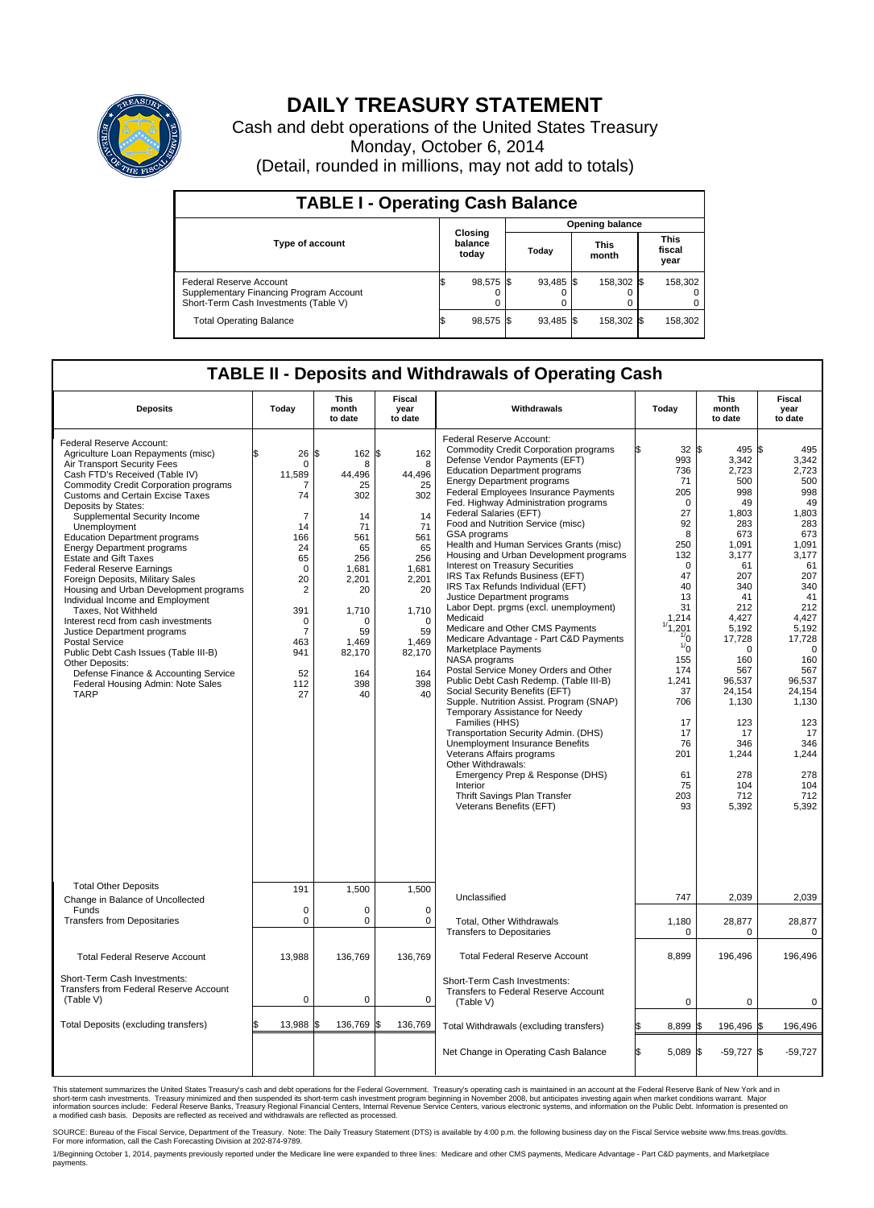

## **DAILY TREASURY STATEMENT**

Cash and debt operations of the United States Treasury Monday, October 6, 2014 (Detail, rounded in millions, may not add to totals)

| <b>TABLE I - Operating Cash Balance</b>                                                                     |  |                             |                        |             |  |                      |  |                               |  |  |
|-------------------------------------------------------------------------------------------------------------|--|-----------------------------|------------------------|-------------|--|----------------------|--|-------------------------------|--|--|
|                                                                                                             |  |                             | <b>Opening balance</b> |             |  |                      |  |                               |  |  |
| <b>Type of account</b>                                                                                      |  | Closing<br>balance<br>today |                        | Today       |  | <b>This</b><br>month |  | <b>This</b><br>fiscal<br>year |  |  |
| Federal Reserve Account<br>Supplementary Financing Program Account<br>Short-Term Cash Investments (Table V) |  | 98,575 \$                   |                        | 93,485 \$   |  | 158,302 \$           |  | 158,302                       |  |  |
| <b>Total Operating Balance</b>                                                                              |  | 98,575 \$                   |                        | $93.485$ \$ |  | 158,302 \$           |  | 158,302                       |  |  |

## **TABLE II - Deposits and Withdrawals of Operating Cash**

| <b>Deposits</b>                                                                                                                                                                                                                                                                                                                                                                                                                                                                                                                                                                                                                                                                                                                                                                                                                                   | Today                                                                                                                                                                                     | This<br>month<br>to date                                                                                                                                      | <b>Fiscal</b><br>year<br>to date                                                                                                                          | Withdrawals                                                                                                                                                                                                                                                                                                                                                                                                                                                                                                                                                                                                                                                                                                                                                                                                                                                                                                                                                                                                                                                                                                                                                                                                                 | Today                                                                                                                                                                                                                                                           | <b>This</b><br>month<br>to date                                                                                                                                                                                                                              | Fiscal<br>year<br>to date                                                                                                                                                                                                                                            |
|---------------------------------------------------------------------------------------------------------------------------------------------------------------------------------------------------------------------------------------------------------------------------------------------------------------------------------------------------------------------------------------------------------------------------------------------------------------------------------------------------------------------------------------------------------------------------------------------------------------------------------------------------------------------------------------------------------------------------------------------------------------------------------------------------------------------------------------------------|-------------------------------------------------------------------------------------------------------------------------------------------------------------------------------------------|---------------------------------------------------------------------------------------------------------------------------------------------------------------|-----------------------------------------------------------------------------------------------------------------------------------------------------------|-----------------------------------------------------------------------------------------------------------------------------------------------------------------------------------------------------------------------------------------------------------------------------------------------------------------------------------------------------------------------------------------------------------------------------------------------------------------------------------------------------------------------------------------------------------------------------------------------------------------------------------------------------------------------------------------------------------------------------------------------------------------------------------------------------------------------------------------------------------------------------------------------------------------------------------------------------------------------------------------------------------------------------------------------------------------------------------------------------------------------------------------------------------------------------------------------------------------------------|-----------------------------------------------------------------------------------------------------------------------------------------------------------------------------------------------------------------------------------------------------------------|--------------------------------------------------------------------------------------------------------------------------------------------------------------------------------------------------------------------------------------------------------------|----------------------------------------------------------------------------------------------------------------------------------------------------------------------------------------------------------------------------------------------------------------------|
| Federal Reserve Account:<br>Agriculture Loan Repayments (misc)<br>Air Transport Security Fees<br>Cash FTD's Received (Table IV)<br><b>Commodity Credit Corporation programs</b><br><b>Customs and Certain Excise Taxes</b><br>Deposits by States:<br>Supplemental Security Income<br>Unemployment<br><b>Education Department programs</b><br><b>Energy Department programs</b><br><b>Estate and Gift Taxes</b><br><b>Federal Reserve Earnings</b><br>Foreign Deposits, Military Sales<br>Housing and Urban Development programs<br>Individual Income and Employment<br>Taxes. Not Withheld<br>Interest recd from cash investments<br>Justice Department programs<br><b>Postal Service</b><br>Public Debt Cash Issues (Table III-B)<br>Other Deposits:<br>Defense Finance & Accounting Service<br>Federal Housing Admin: Note Sales<br><b>TARP</b> | 26<br>\$<br>$\mathbf 0$<br>11,589<br>7<br>74<br>$\overline{7}$<br>14<br>166<br>24<br>65<br>$\mathbf 0$<br>20<br>$\sqrt{2}$<br>391<br>0<br>$\overline{7}$<br>463<br>941<br>52<br>112<br>27 | $162$ \$<br>\$<br>8<br>44,496<br>25<br>302<br>14<br>71<br>561<br>65<br>256<br>1,681<br>2,201<br>20<br>1,710<br>O<br>59<br>1,469<br>82,170<br>164<br>398<br>40 | 162<br>8<br>44,496<br>25<br>302<br>14<br>71<br>561<br>65<br>256<br>1,681<br>2,201<br>20<br>1,710<br>$\Omega$<br>59<br>1,469<br>82,170<br>164<br>398<br>40 | Federal Reserve Account:<br><b>Commodity Credit Corporation programs</b><br>Defense Vendor Payments (EFT)<br><b>Education Department programs</b><br><b>Energy Department programs</b><br>Federal Employees Insurance Payments<br>Fed. Highway Administration programs<br>Federal Salaries (EFT)<br>Food and Nutrition Service (misc)<br>GSA programs<br>Health and Human Services Grants (misc)<br>Housing and Urban Development programs<br>Interest on Treasury Securities<br>IRS Tax Refunds Business (EFT)<br>IRS Tax Refunds Individual (EFT)<br>Justice Department programs<br>Labor Dept. prgms (excl. unemployment)<br>Medicaid<br>Medicare and Other CMS Payments<br>Medicare Advantage - Part C&D Payments<br>Marketplace Payments<br>NASA programs<br>Postal Service Money Orders and Other<br>Public Debt Cash Redemp. (Table III-B)<br>Social Security Benefits (EFT)<br>Supple. Nutrition Assist. Program (SNAP)<br>Temporary Assistance for Needy<br>Families (HHS)<br>Transportation Security Admin. (DHS)<br>Unemployment Insurance Benefits<br>Veterans Affairs programs<br>Other Withdrawals:<br>Emergency Prep & Response (DHS)<br>Interior<br>Thrift Savings Plan Transfer<br>Veterans Benefits (EFT) | 32S<br>993<br>736<br>71<br>205<br>$\mathbf 0$<br>27<br>92<br>8<br>250<br>132<br>$\mathbf 0$<br>47<br>40<br>13<br>31<br>1,214<br>1/1,201<br>$\frac{1}{0}$<br>$\sqrt[1]{0}$<br>155<br>174<br>1,241<br>37<br>706<br>17<br>17<br>76<br>201<br>61<br>75<br>203<br>93 | 495 S<br>3,342<br>2.723<br>500<br>998<br>49<br>1,803<br>283<br>673<br>1,091<br>3,177<br>61<br>207<br>340<br>41<br>212<br>4.427<br>5,192<br>17,728<br>0<br>160<br>567<br>96,537<br>24,154<br>1,130<br>123<br>17<br>346<br>1,244<br>278<br>104<br>712<br>5,392 | 495<br>3,342<br>2,723<br>500<br>998<br>49<br>1,803<br>283<br>673<br>1.091<br>3,177<br>61<br>207<br>340<br>41<br>212<br>4.427<br>5,192<br>17,728<br>$\mathbf 0$<br>160<br>567<br>96,537<br>24,154<br>1,130<br>123<br>17<br>346<br>1,244<br>278<br>104<br>712<br>5,392 |
| <b>Total Other Deposits</b><br>Change in Balance of Uncollected                                                                                                                                                                                                                                                                                                                                                                                                                                                                                                                                                                                                                                                                                                                                                                                   | 191                                                                                                                                                                                       | 1,500                                                                                                                                                         | 1,500                                                                                                                                                     | Unclassified                                                                                                                                                                                                                                                                                                                                                                                                                                                                                                                                                                                                                                                                                                                                                                                                                                                                                                                                                                                                                                                                                                                                                                                                                | 747                                                                                                                                                                                                                                                             | 2,039                                                                                                                                                                                                                                                        | 2,039                                                                                                                                                                                                                                                                |
| Funds<br><b>Transfers from Depositaries</b>                                                                                                                                                                                                                                                                                                                                                                                                                                                                                                                                                                                                                                                                                                                                                                                                       | $\mathbf 0$<br>$\mathbf 0$                                                                                                                                                                | $\Omega$<br>0                                                                                                                                                 | $\Omega$<br>0                                                                                                                                             | Total, Other Withdrawals                                                                                                                                                                                                                                                                                                                                                                                                                                                                                                                                                                                                                                                                                                                                                                                                                                                                                                                                                                                                                                                                                                                                                                                                    | 1,180                                                                                                                                                                                                                                                           | 28,877                                                                                                                                                                                                                                                       | 28,877                                                                                                                                                                                                                                                               |
|                                                                                                                                                                                                                                                                                                                                                                                                                                                                                                                                                                                                                                                                                                                                                                                                                                                   |                                                                                                                                                                                           |                                                                                                                                                               |                                                                                                                                                           | <b>Transfers to Depositaries</b>                                                                                                                                                                                                                                                                                                                                                                                                                                                                                                                                                                                                                                                                                                                                                                                                                                                                                                                                                                                                                                                                                                                                                                                            | $\mathbf 0$                                                                                                                                                                                                                                                     | 0                                                                                                                                                                                                                                                            | $\mathbf 0$                                                                                                                                                                                                                                                          |
| <b>Total Federal Reserve Account</b>                                                                                                                                                                                                                                                                                                                                                                                                                                                                                                                                                                                                                                                                                                                                                                                                              | 13,988                                                                                                                                                                                    | 136,769                                                                                                                                                       | 136,769                                                                                                                                                   | <b>Total Federal Reserve Account</b>                                                                                                                                                                                                                                                                                                                                                                                                                                                                                                                                                                                                                                                                                                                                                                                                                                                                                                                                                                                                                                                                                                                                                                                        | 8,899                                                                                                                                                                                                                                                           | 196,496                                                                                                                                                                                                                                                      | 196,496                                                                                                                                                                                                                                                              |
| Short-Term Cash Investments:<br>Transfers from Federal Reserve Account<br>(Table V)                                                                                                                                                                                                                                                                                                                                                                                                                                                                                                                                                                                                                                                                                                                                                               | $\mathbf 0$                                                                                                                                                                               | 0                                                                                                                                                             | 0                                                                                                                                                         | Short-Term Cash Investments:<br>Transfers to Federal Reserve Account<br>(Table V)                                                                                                                                                                                                                                                                                                                                                                                                                                                                                                                                                                                                                                                                                                                                                                                                                                                                                                                                                                                                                                                                                                                                           | $\mathbf 0$                                                                                                                                                                                                                                                     | $\mathbf 0$                                                                                                                                                                                                                                                  | 0                                                                                                                                                                                                                                                                    |
| Total Deposits (excluding transfers)                                                                                                                                                                                                                                                                                                                                                                                                                                                                                                                                                                                                                                                                                                                                                                                                              | 13,988                                                                                                                                                                                    | 136,769                                                                                                                                                       | \$<br>136,769                                                                                                                                             | Total Withdrawals (excluding transfers)                                                                                                                                                                                                                                                                                                                                                                                                                                                                                                                                                                                                                                                                                                                                                                                                                                                                                                                                                                                                                                                                                                                                                                                     | 8,899 \$                                                                                                                                                                                                                                                        | 196,496 \$                                                                                                                                                                                                                                                   | 196,496                                                                                                                                                                                                                                                              |
|                                                                                                                                                                                                                                                                                                                                                                                                                                                                                                                                                                                                                                                                                                                                                                                                                                                   |                                                                                                                                                                                           |                                                                                                                                                               |                                                                                                                                                           | Net Change in Operating Cash Balance                                                                                                                                                                                                                                                                                                                                                                                                                                                                                                                                                                                                                                                                                                                                                                                                                                                                                                                                                                                                                                                                                                                                                                                        | Ŝ.<br>5,089 \$                                                                                                                                                                                                                                                  | $-59,727$ \$                                                                                                                                                                                                                                                 | $-59,727$                                                                                                                                                                                                                                                            |

This statement summarizes the United States Treasury's cash and debt operations for the Federal Government. Treasury's operating cash is maintained in an account at the Federal Reserve Bank of New York and in<br>short-term ca

SOURCE: Bureau of the Fiscal Service, Department of the Treasury. Note: The Daily Treasury Statement (DTS) is available by 4:00 p.m. the following business day on the Fiscal Service website www.fms.treas.gov/dts.<br>For more

1/Beginning October 1, 2014, payments previously reported under the Medicare line were expanded to three lines: Medicare and other CMS payments, Medicare Advantage - Part C&D payments, and Marketplace payments.